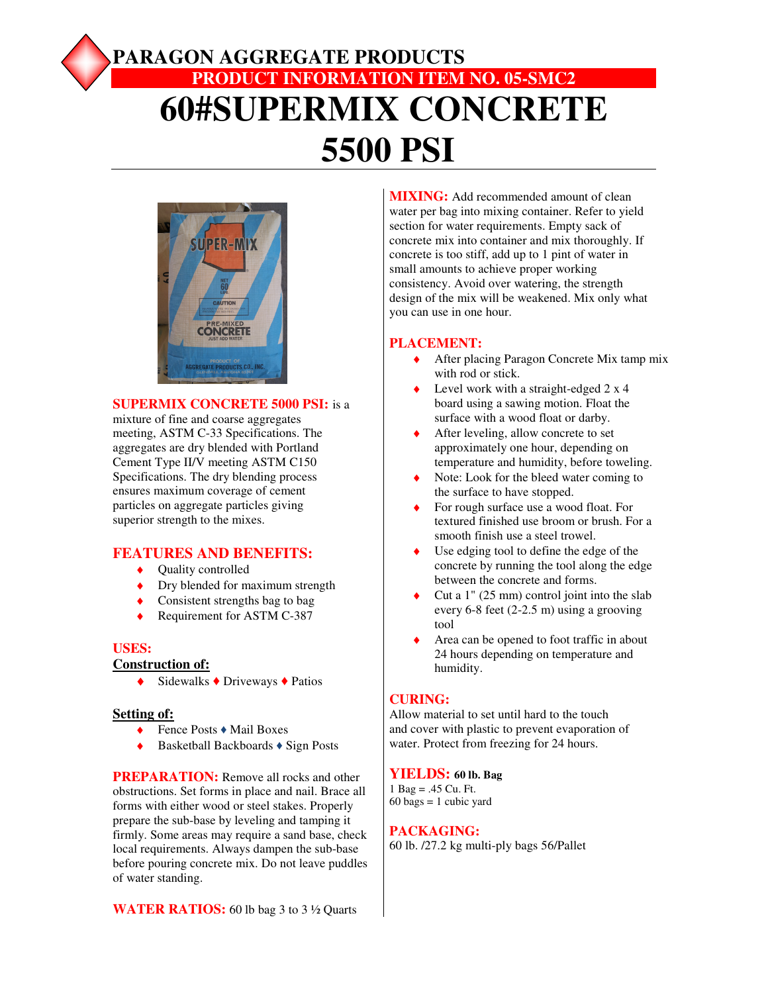# **PARAGON AGGREGATE PRODUCTS PRODUCT INFORMATION ITEM NO. 05-SMC2 60#SUPERMIX CONCRETE 5500 PSI**



#### **SUPERMIX CONCRETE 5000 PSI:** is a

mixture of fine and coarse aggregates meeting, ASTM C-33 Specifications. The aggregates are dry blended with Portland Cement Type II/V meeting ASTM C150 Specifications. The dry blending process ensures maximum coverage of cement particles on aggregate particles giving superior strength to the mixes.

## **FEATURES AND BENEFITS:**

- ♦ Quality controlled
- Dry blended for maximum strength
- ♦ Consistent strengths bag to bag
- ◆ Requirement for ASTM C-387

#### **USES:**

#### **Construction of:**

 $\triangle$  Sidewalks  $\triangle$  Driveways  $\triangle$  Patios

#### **Setting of:**

- ♦ Fence Posts ♦ Mail Boxes
- ♦ Basketball Backboards ♦ Sign Posts

**PREPARATION:** Remove all rocks and other obstructions. Set forms in place and nail. Brace all forms with either wood or steel stakes. Properly prepare the sub-base by leveling and tamping it firmly. Some areas may require a sand base, check local requirements. Always dampen the sub-base before pouring concrete mix. Do not leave puddles of water standing.

**WATER RATIOS:** 60 lb bag 3 to 3 ½ Quarts

**MIXING:** Add recommended amount of clean water per bag into mixing container. Refer to yield section for water requirements. Empty sack of concrete mix into container and mix thoroughly. If concrete is too stiff, add up to 1 pint of water in small amounts to achieve proper working consistency. Avoid over watering, the strength design of the mix will be weakened. Mix only what you can use in one hour.

#### **PLACEMENT:**

- ♦ After placing Paragon Concrete Mix tamp mix with rod or stick.
- Level work with a straight-edged  $2 \times 4$ board using a sawing motion. Float the surface with a wood float or darby.
- After leveling, allow concrete to set approximately one hour, depending on temperature and humidity, before toweling.
- Note: Look for the bleed water coming to the surface to have stopped.
- For rough surface use a wood float. For textured finished use broom or brush. For a smooth finish use a steel trowel.
- Use edging tool to define the edge of the concrete by running the tool along the edge between the concrete and forms.
- Cut a  $1$ " (25 mm) control joint into the slab every 6-8 feet (2-2.5 m) using a grooving tool
- Area can be opened to foot traffic in about 24 hours depending on temperature and humidity.

## **CURING:**

Allow material to set until hard to the touch and cover with plastic to prevent evaporation of water. Protect from freezing for 24 hours.

#### **YIELDS: 60 lb. Bag**

1 Bag = .45 Cu. Ft.  $60 \text{ bags} = 1 \text{ cubic yard}$ 

#### **PACKAGING:**

60 lb. /27.2 kg multi-ply bags 56/Pallet